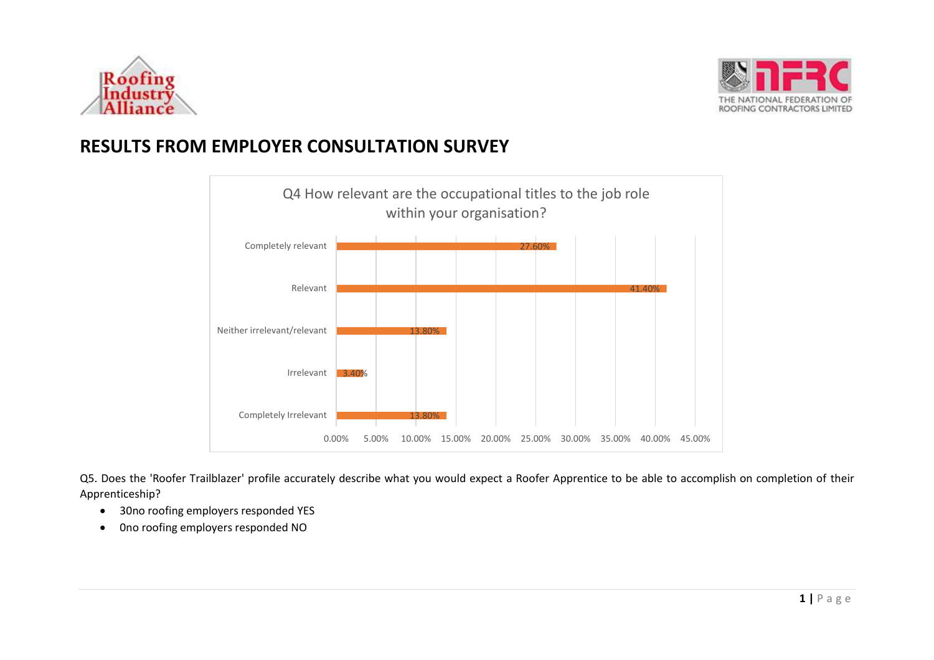



# **RESULTS FROM EMPLOYER CONSULTATION SURVEY**



Q5. Does the 'Roofer Trailblazer' profile accurately describe what you would expect a Roofer Apprentice to be able to accomplish on completion of their Apprenticeship?

- 30no roofing employers responded YES
- 0no roofing employers responded NO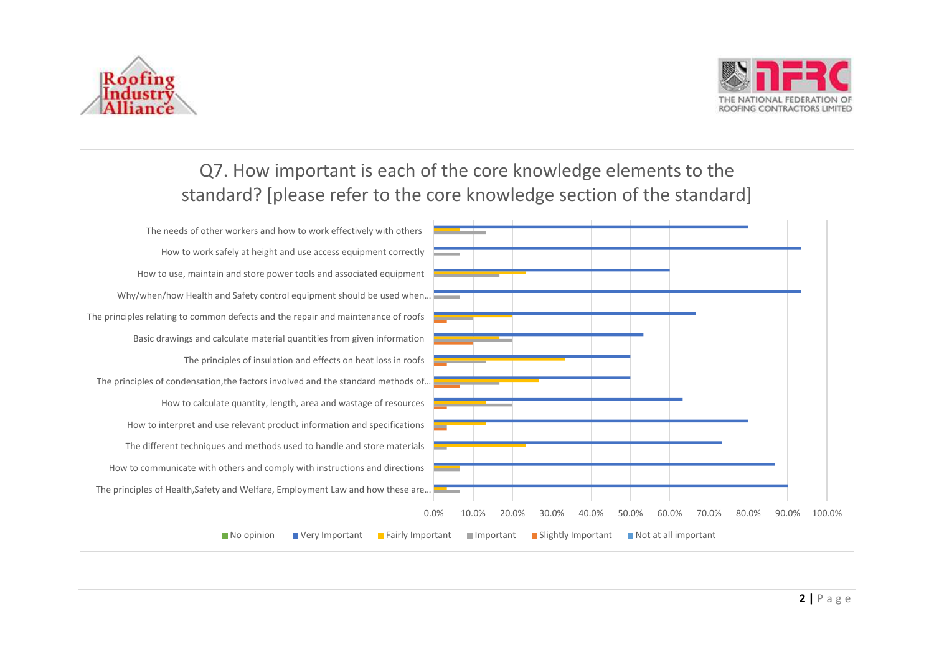



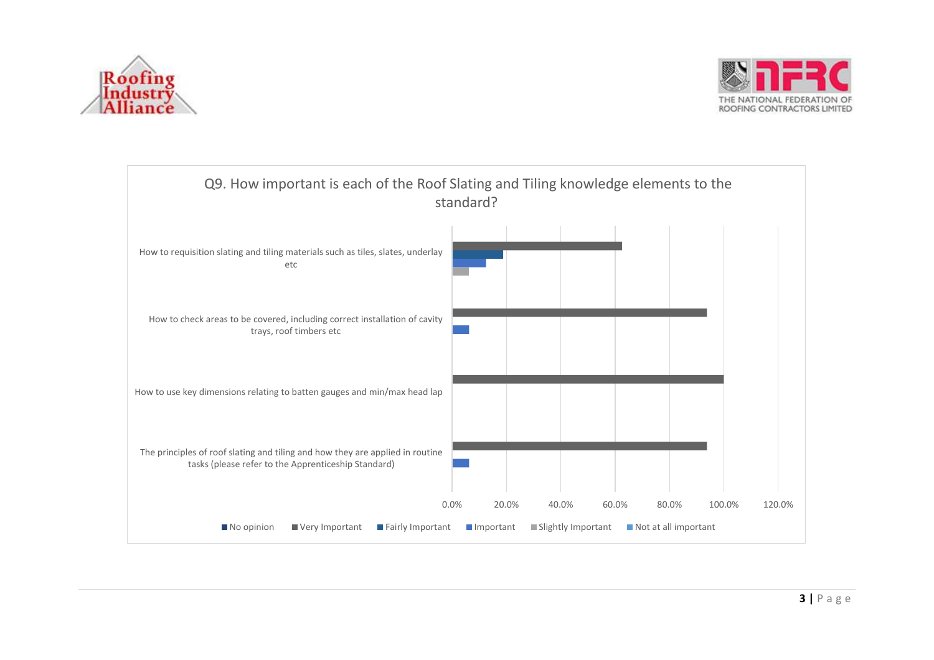



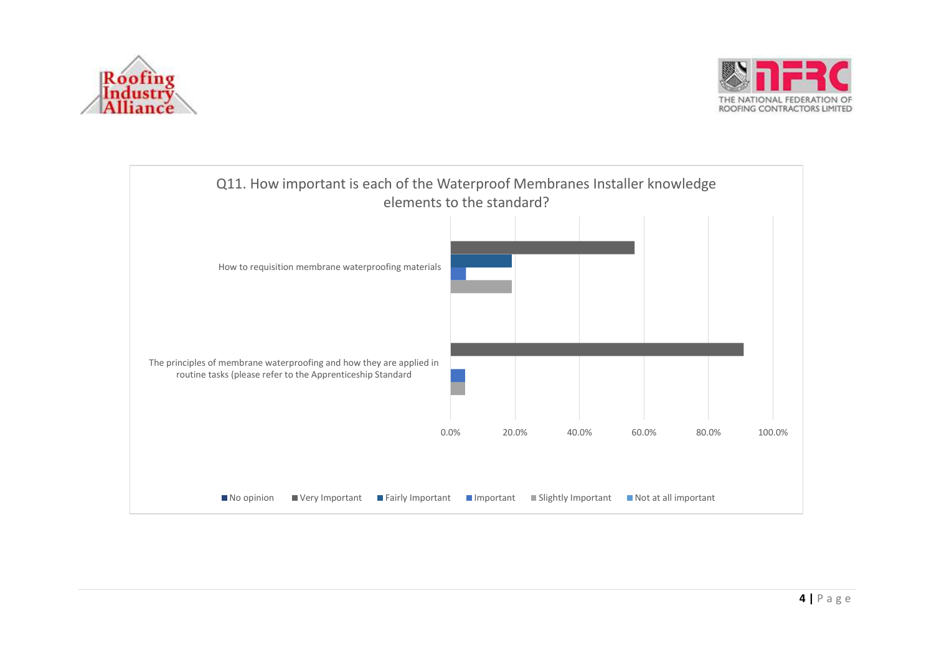



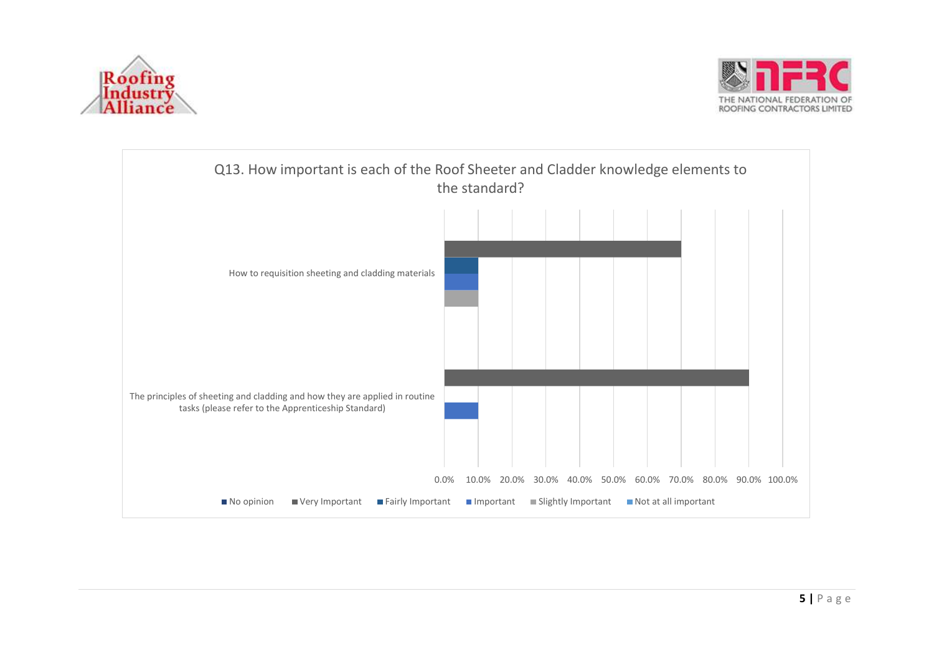



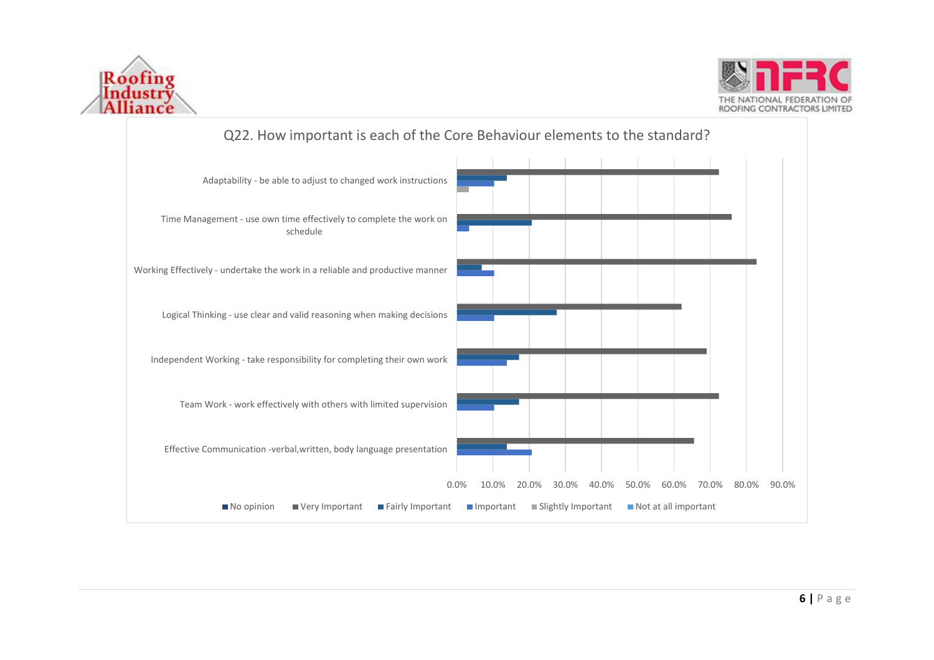



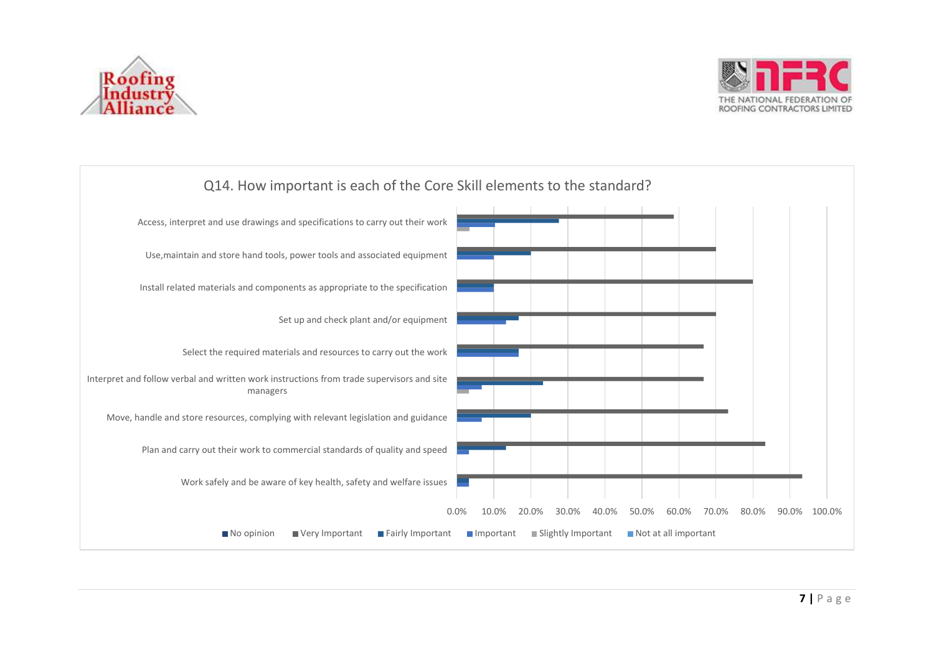



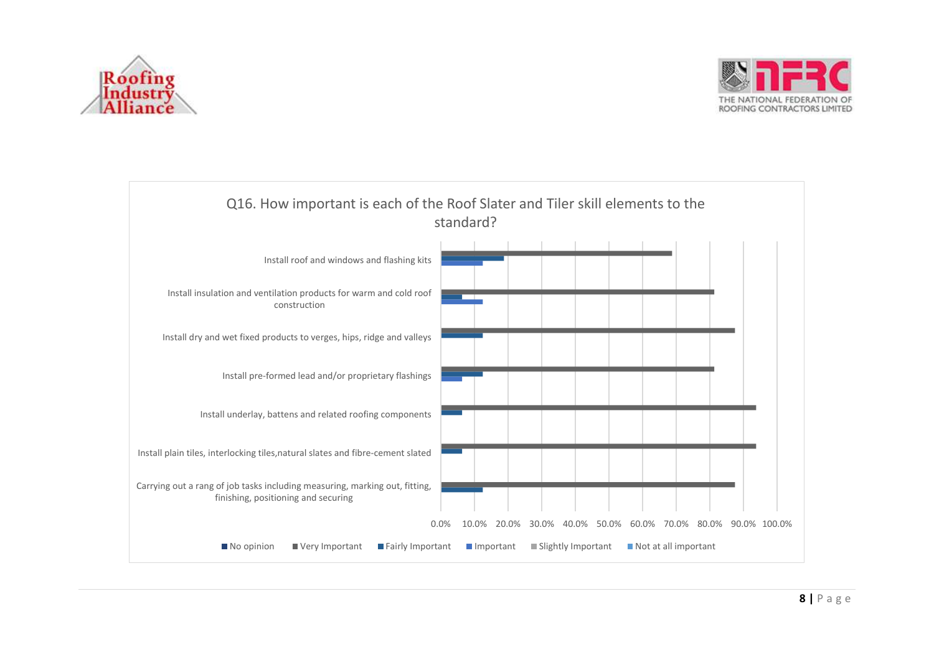



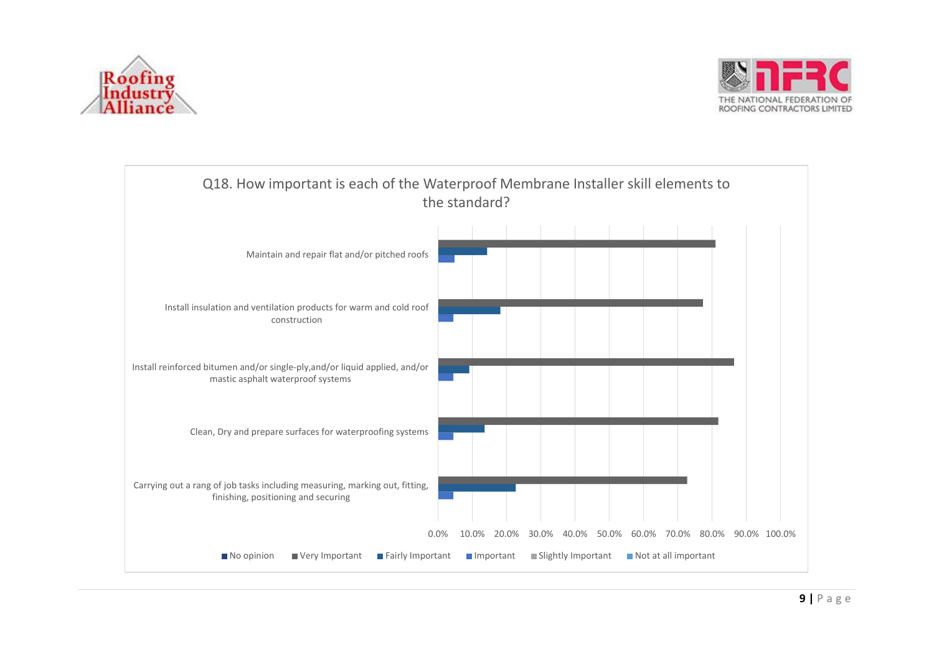



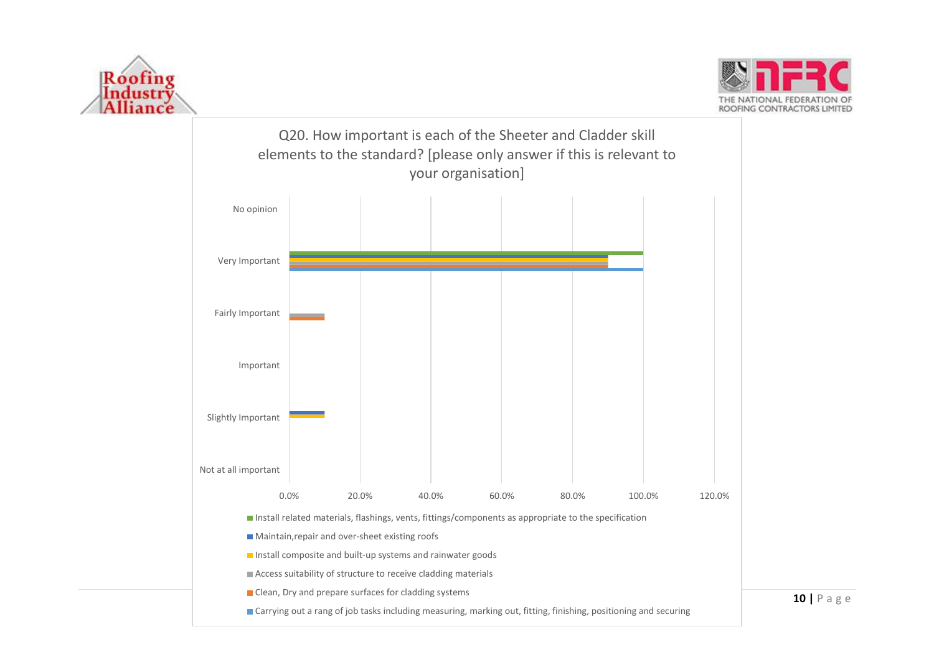





**10 |** P a g e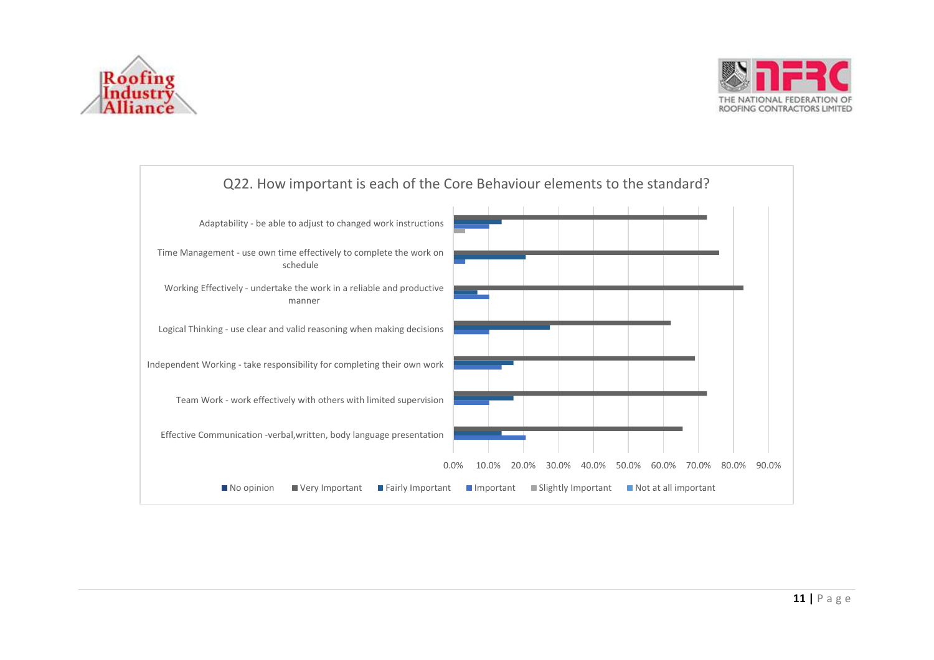



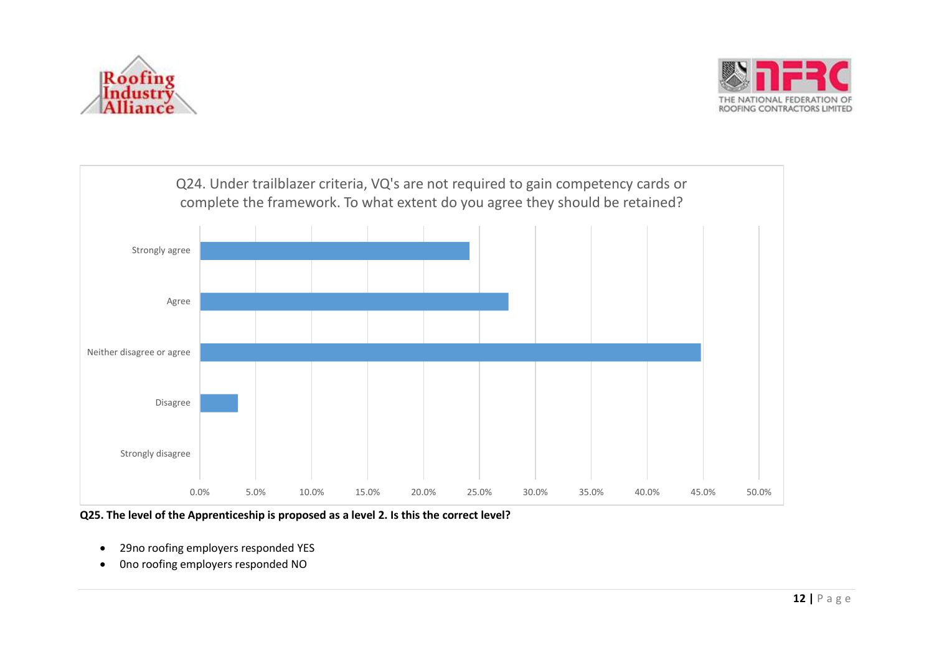





**Q25. The level of the Apprenticeship is proposed as a level 2. Is this the correct level?**

- 29no roofing employers responded YES
- 0no roofing employers responded NO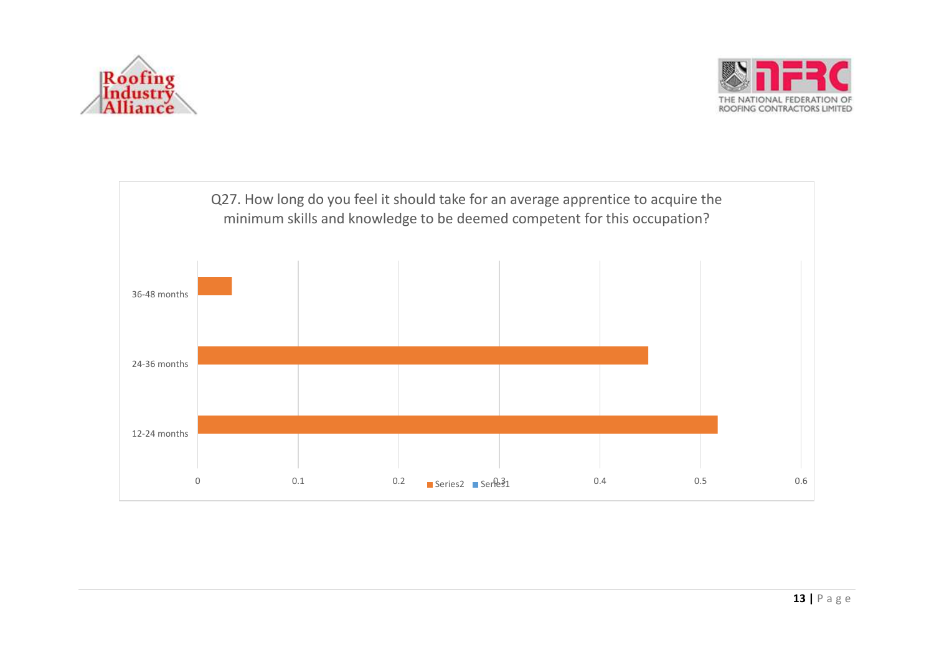



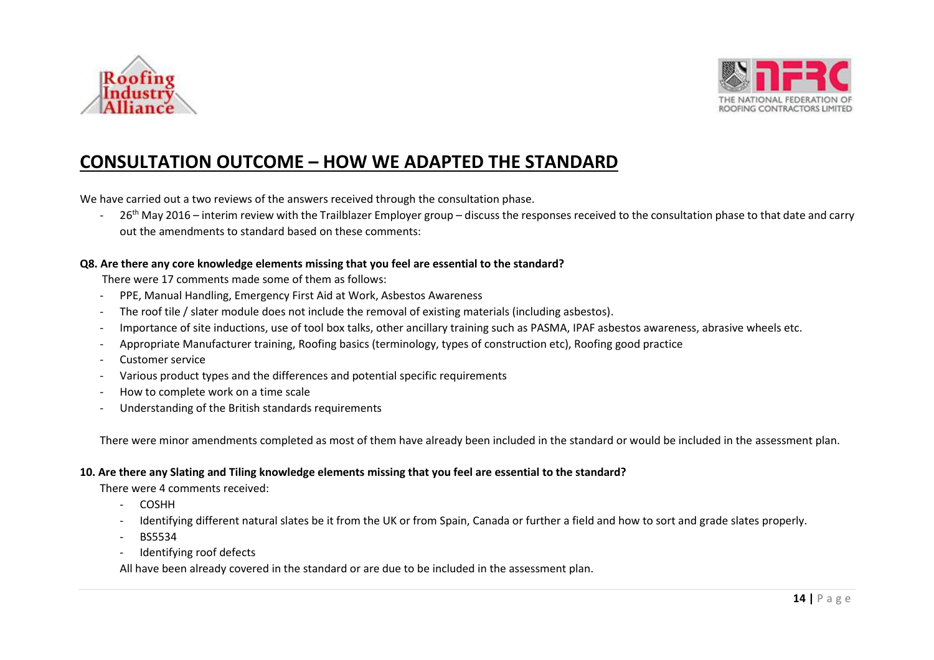



## **CONSULTATION OUTCOME – HOW WE ADAPTED THE STANDARD**

We have carried out a two reviews of the answers received through the consultation phase.

- 26<sup>th</sup> May 2016 – interim review with the Trailblazer Employer group – discuss the responses received to the consultation phase to that date and carry out the amendments to standard based on these comments:

#### **Q8. Are there any core knowledge elements missing that you feel are essential to the standard?**

There were 17 comments made some of them as follows:

- PPE, Manual Handling, Emergency First Aid at Work, Asbestos Awareness
- The roof tile / slater module does not include the removal of existing materials (including asbestos).
- Importance of site inductions, use of tool box talks, other ancillary training such as PASMA, IPAF asbestos awareness, abrasive wheels etc.
- Appropriate Manufacturer training, Roofing basics (terminology, types of construction etc), Roofing good practice
- Customer service
- Various product types and the differences and potential specific requirements
- How to complete work on a time scale
- Understanding of the British standards requirements

There were minor amendments completed as most of them have already been included in the standard or would be included in the assessment plan.

#### **10. Are there any Slating and Tiling knowledge elements missing that you feel are essential to the standard?**

There were 4 comments received:

- COSHH
- Identifying different natural slates be it from the UK or from Spain, Canada or further a field and how to sort and grade slates properly.
- BS5534
- Identifying roof defects

All have been already covered in the standard or are due to be included in the assessment plan.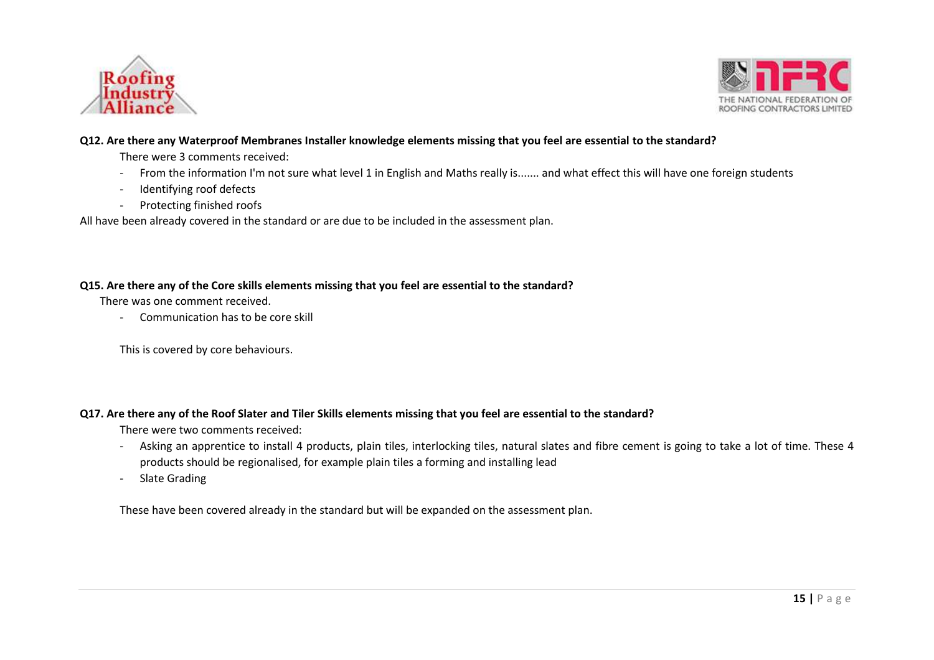



#### **Q12. Are there any Waterproof Membranes Installer knowledge elements missing that you feel are essential to the standard?**

There were 3 comments received:

- From the information I'm not sure what level 1 in English and Maths really is....... and what effect this will have one foreign students
- Identifying roof defects
- Protecting finished roofs

All have been already covered in the standard or are due to be included in the assessment plan.

#### **Q15. Are there any of the Core skills elements missing that you feel are essential to the standard?**

There was one comment received.

- Communication has to be core skill

This is covered by core behaviours.

#### **Q17. Are there any of the Roof Slater and Tiler Skills elements missing that you feel are essential to the standard?**

There were two comments received:

- Asking an apprentice to install 4 products, plain tiles, interlocking tiles, natural slates and fibre cement is going to take a lot of time. These 4 products should be regionalised, for example plain tiles a forming and installing lead
- Slate Grading

These have been covered already in the standard but will be expanded on the assessment plan.